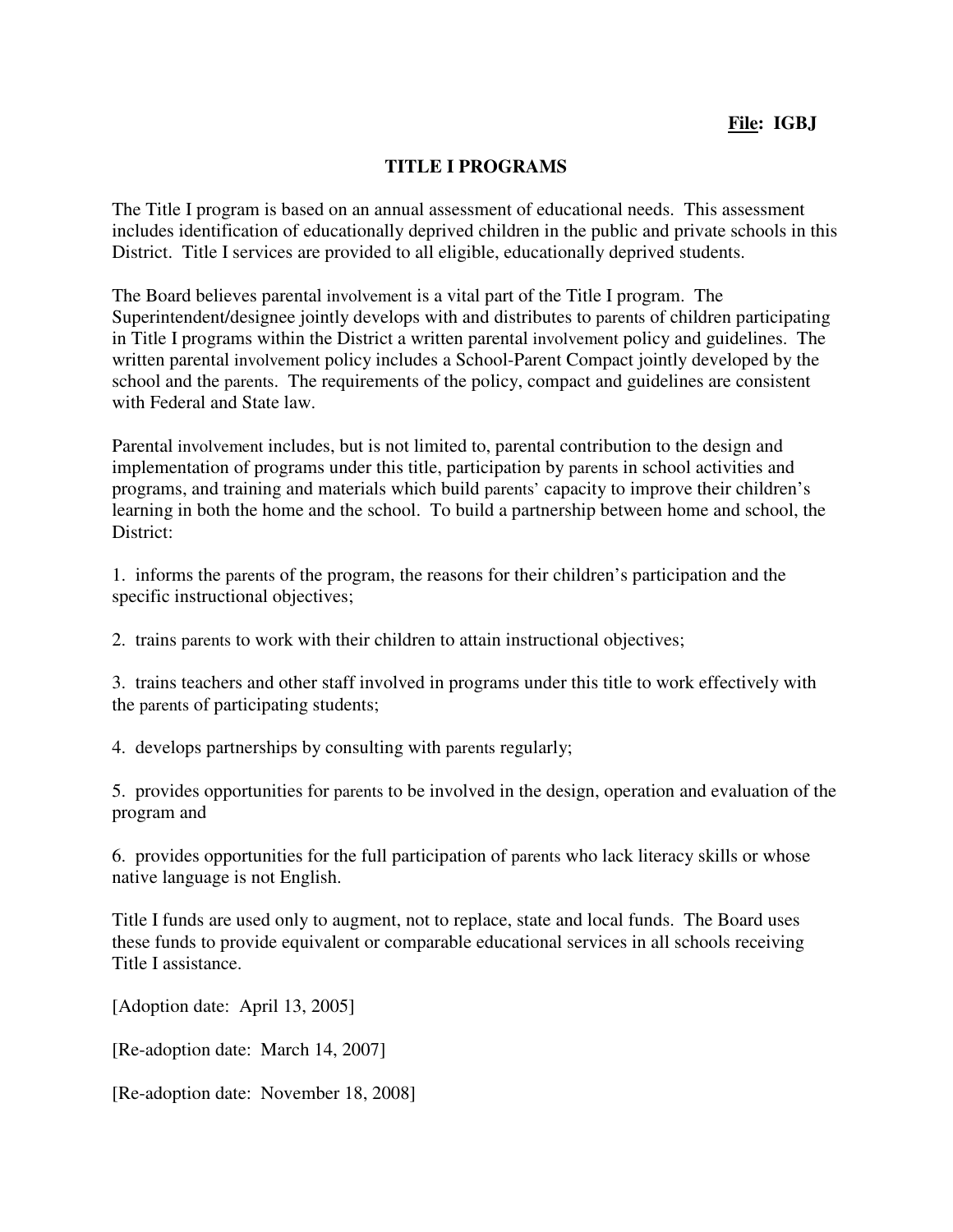## **TITLE I PROGRAMS**

The Title I program is based on an annual assessment of educational needs. This assessment includes identification of educationally deprived children in the public and private schools in this District. Title I services are provided to all eligible, educationally deprived students.

The Board believes parental involvement is a vital part of the Title I program. The Superintendent/designee jointly develops with and distributes to parents of children participating in Title I programs within the District a written parental involvement policy and guidelines. The written parental involvement policy includes a School-Parent Compact jointly developed by the school and the parents. The requirements of the policy, compact and guidelines are consistent with Federal and State law.

Parental involvement includes, but is not limited to, parental contribution to the design and implementation of programs under this title, participation by parents in school activities and programs, and training and materials which build parents' capacity to improve their children's learning in both the home and the school. To build a partnership between home and school, the District:

1. informs the parents of the program, the reasons for their children's participation and the specific instructional objectives;

2. trains parents to work with their children to attain instructional objectives;

3. trains teachers and other staff involved in programs under this title to work effectively with the parents of participating students;

4. develops partnerships by consulting with parents regularly;

5. provides opportunities for parents to be involved in the design, operation and evaluation of the program and

6. provides opportunities for the full participation of parents who lack literacy skills or whose native language is not English.

Title I funds are used only to augment, not to replace, state and local funds. The Board uses these funds to provide equivalent or comparable educational services in all schools receiving Title I assistance.

[Adoption date: April 13, 2005]

[Re-adoption date: March 14, 2007]

[Re-adoption date: November 18, 2008]